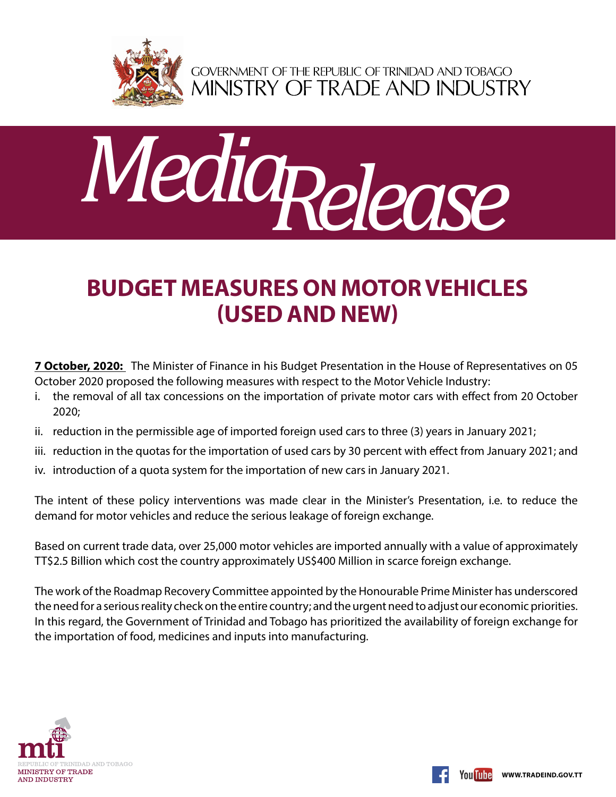

GOVERNMENT OF THE REPUBLIC OF TRINIDAD AND TOBAGO<br>MINISTRY OF TRADE AND INDUSTRY



## **Budget Measures on Motor Vehicles (Used and New)**

**7 October, 2020:** The Minister of Finance in his Budget Presentation in the House of Representatives on 05 October 2020 proposed the following measures with respect to the Motor Vehicle Industry:

- i. the removal of all tax concessions on the importation of private motor cars with effect from 20 October 2020;
- ii. reduction in the permissible age of imported foreign used cars to three (3) years in January 2021;
- iii. reduction in the quotas for the importation of used cars by 30 percent with effect from January 2021; and
- iv. introduction of a quota system for the importation of new cars in January 2021.

The intent of these policy interventions was made clear in the Minister's Presentation, i.e. to reduce the demand for motor vehicles and reduce the serious leakage of foreign exchange.

Based on current trade data, over 25,000 motor vehicles are imported annually with a value of approximately TT\$2.5 Billion which cost the country approximately US\$400 Million in scarce foreign exchange.

The work of the Roadmap Recovery Committee appointed by the Honourable Prime Minister has underscored the need for a serious reality check on the entire country; and the urgent need to adjust our economic priorities. In this regard, the Government of Trinidad and Tobago has prioritized the availability of foreign exchange for the importation of food, medicines and inputs into manufacturing.